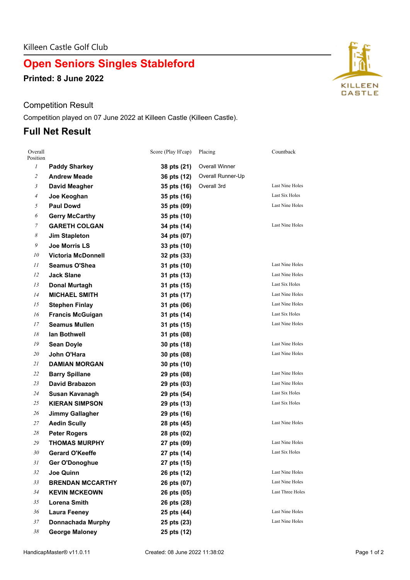# **Open Seniors Singles Stableford**

**Printed: 8 June 2022**

#### Competition Result

Competition played on 07 June 2022 at Killeen Castle (Killeen Castle).

## **Full Net Result**

| Overall<br>Position |                           | Score (Play H'cap) | Placing               | Countback              |
|---------------------|---------------------------|--------------------|-----------------------|------------------------|
| $\mathfrak{I}$      | <b>Paddy Sharkey</b>      | 38 pts (21)        | <b>Overall Winner</b> |                        |
| $\mathfrak{2}$      | <b>Andrew Meade</b>       | 36 pts (12)        | Overall Runner-Up     |                        |
| $\mathfrak{Z}$      | David Meagher             | 35 pts (16)        | Overall 3rd           | Last Nine Holes        |
| 4                   | Joe Keoghan               | 35 pts (16)        |                       | Last Six Holes         |
| 5                   | <b>Paul Dowd</b>          | 35 pts (09)        |                       | Last Nine Holes        |
| 6                   | <b>Gerry McCarthy</b>     | 35 pts (10)        |                       |                        |
| 7                   | <b>GARETH COLGAN</b>      | 34 pts (14)        |                       | Last Nine Holes        |
| 8                   | <b>Jim Stapleton</b>      | 34 pts (07)        |                       |                        |
| 9                   | Joe Morris LS             | 33 pts (10)        |                       |                        |
| 10                  | <b>Victoria McDonnell</b> | 32 pts (33)        |                       |                        |
| 11                  | <b>Seamus O'Shea</b>      | 31 pts (10)        |                       | <b>Last Nine Holes</b> |
| 12                  | <b>Jack Slane</b>         | 31 pts (13)        |                       | <b>Last Nine Holes</b> |
| 13                  | Donal Murtagh             | 31 pts (15)        |                       | Last Six Holes         |
| 14                  | <b>MICHAEL SMITH</b>      | 31 pts (17)        |                       | Last Nine Holes        |
| 15                  | <b>Stephen Finlay</b>     | 31 pts (06)        |                       | Last Nine Holes        |
| 16                  | <b>Francis McGuigan</b>   | 31 pts (14)        |                       | Last Six Holes         |
| 17                  | <b>Seamus Mullen</b>      | 31 pts (15)        |                       | Last Nine Holes        |
| 18                  | lan Bothwell              | 31 pts (08)        |                       |                        |
| 19                  | <b>Sean Doyle</b>         | 30 pts (18)        |                       | Last Nine Holes        |
| 20                  | John O'Hara               | 30 pts (08)        |                       | Last Nine Holes        |
| 21                  | <b>DAMIAN MORGAN</b>      | 30 pts (10)        |                       |                        |
| 22                  | <b>Barry Spillane</b>     | 29 pts (08)        |                       | Last Nine Holes        |
| 23                  | <b>David Brabazon</b>     | 29 pts (03)        |                       | <b>Last Nine Holes</b> |
| 24                  | Susan Kavanagh            | 29 pts (54)        |                       | Last Six Holes         |
| 25                  | <b>KIERAN SIMPSON</b>     | 29 pts (13)        |                       | Last Six Holes         |
| 26                  | <b>Jimmy Gallagher</b>    | 29 pts (16)        |                       |                        |
| 27                  | <b>Aedin Scully</b>       | 28 pts (45)        |                       | Last Nine Holes        |
| 28                  | <b>Peter Rogers</b>       | 28 pts (02)        |                       |                        |
| 29                  | <b>THOMAS MURPHY</b>      | 27 pts (09)        |                       | Last Nine Holes        |
| 30                  | <b>Gerard O'Keeffe</b>    | 27 pts (14)        |                       | Last Six Holes         |
| 31                  | Ger O'Donoghue            | 27 pts (15)        |                       |                        |
| 32                  | Joe Quinn                 | 26 pts (12)        |                       | Last Nine Holes        |
| 33                  | <b>BRENDAN MCCARTHY</b>   | 26 pts (07)        |                       | <b>Last Nine Holes</b> |
| 34                  | <b>KEVIN MCKEOWN</b>      | 26 pts (05)        |                       | Last Three Holes       |
| 35                  | Lorena Smith              | 26 pts (28)        |                       |                        |
| 36                  | <b>Laura Feeney</b>       | 25 pts (44)        |                       | Last Nine Holes        |
| 37                  | <b>Donnachada Murphy</b>  | 25 pts (23)        |                       | Last Nine Holes        |
| 38                  | <b>George Maloney</b>     | 25 pts (12)        |                       |                        |